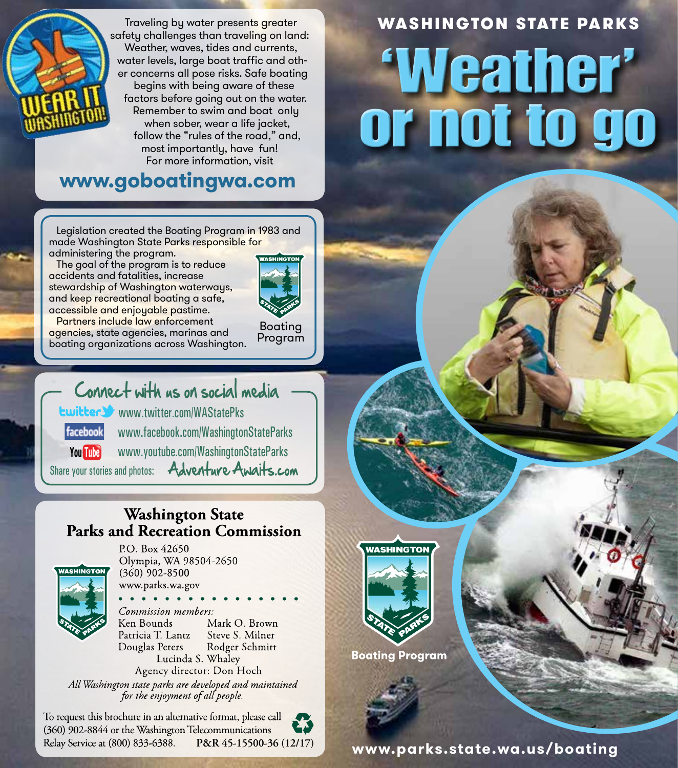

 Traveling by water presents greater safety challenges than traveling on land: Weather, waves, tides and currents, water levels, large boat traffic and other concerns all pose risks. Safe boating begins with being aware of these factors before going out on the water. Remember to swim and boat only when sober, wear a life jacket, follow the "rules of the road," and, most importantly, have fun! For more information, visit

## **www.goboatingwa.com**

 Legislation created the Boating Program in 1983 and made Washington State Parks responsible for administering the program.

 The goal of the program is to reduce accidents and fatalities, increase stewardship of Washington waterways, and keep recreational boating a safe, accessible and enjoyable pastime.



 Partners include law enforcement agencies, state agencies, marinas and boating organizations across Washington.

Boating Program

# Connect with us on social media

www.twitter.com/WAStatePks www.facebook.com/WashingtonStateParks facebook

You **This** www.youtube.com/WashingtonStateParks

Share your stories and photos: **Adventure Awaits.com** 

### **Washington State Parks and Recreation Commission**



P.O. Box 42650 Olympia, WA 98504-2650  $(360)$  902-8500 www.parks.wa.gov

Commission members: Mark O. Brown Ken Bounds Patricia T. Lantz Steve S. Milner Douglas Peters Rodger Schmitt Lucinda S. Whaley

Agency director: Don Hoch All Washington state parks are developed and maintained<br>for the enjoyment of all people.

To request this brochure in an alternative format, please call (360) 902-8844 or the Washington Telecommunications Relay Service at (800) 833-6388.

# WASHINGTON STATE PARKS 'Weather' or not to go



**Boating Program** 

**P&R 45-15500-36 (12/17) www.parks.state.wa.us/boating**

**Puget Sound**